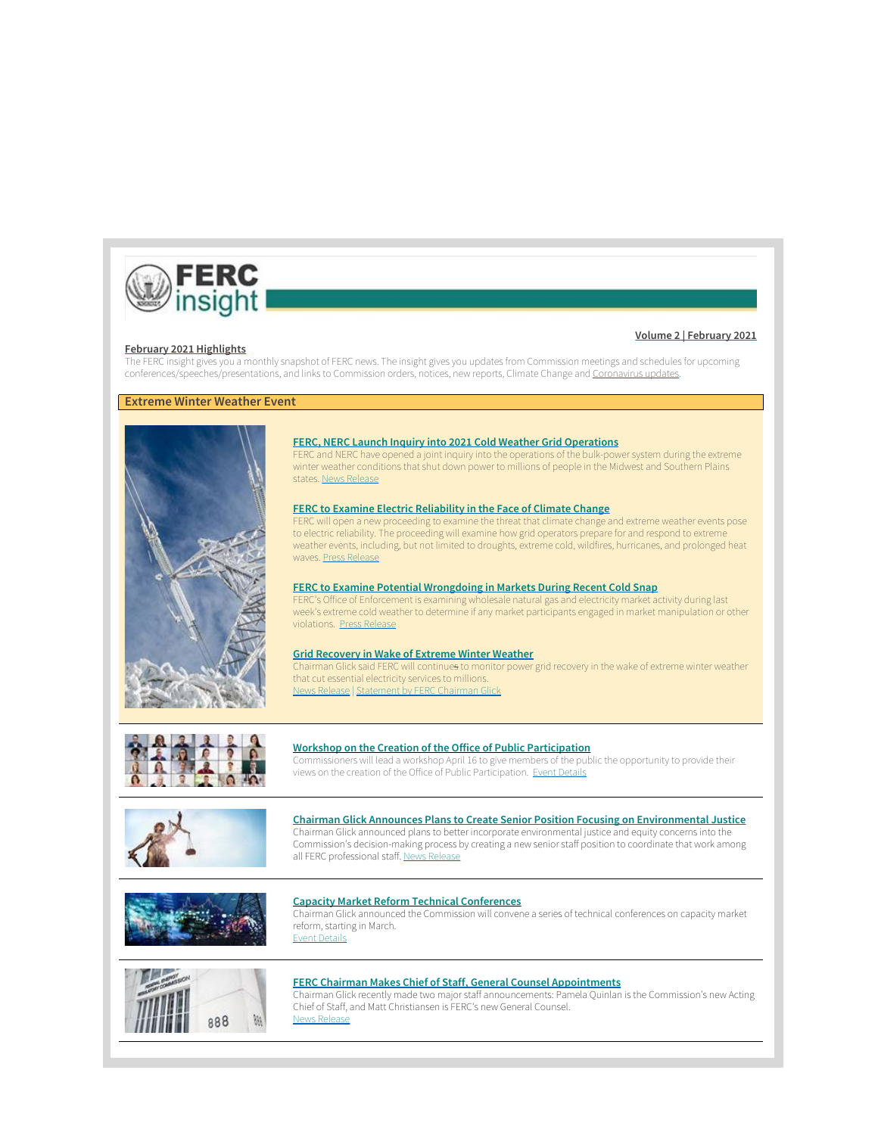

# **Volume 2 | February 2021**

## **February [2021 Highlights](https://www.ferc.gov/news-events/media/ferc-insight)**

The FERC insight gives you a monthly snapshot of FERC news. The insight gives you updates from Commission meetings and schedules for upcoming conferences/speeches/presentations, and links to Commission orders, notices, new reports, Climate Change and [Coronavirus updates](https://www.ferc.gov/news-events/media/coronavirus).

# **Extreme Winter Weather Event**



## **[FERC, NERC Launch Inquiry into 2021 Cold Weather Grid Operations](https://www.ferc.gov/news-events/news/ferc-nerc-open-joint-inquiry-2021-cold-weather-grid-operations)**

FERC and NERC have opened a joint inquiry into the operations of the bulk-power system during the extreme winter weather conditions that shut down power to millions of people in the Midwest and Southern Plains states. [News Release](https://www.ferc.gov/news-events/news/ferc-nerc-open-joint-inquiry-2021-cold-weather-grid-operations)

### **[FERC to Examine Electric Reliability in the Face of Climate Change](https://www.ferc.gov/news-events/news/ferc-examine-electric-reliability-face-climate-change)**

FERC will open a new proceeding to examine the threat that climate change and extreme weather events pose to electric reliability. The proceeding will examine how grid operators prepare for and respond to extreme weather events, including, but not limited to droughts, extreme cold, wildfires, hurricanes, and prolonged heat waves. [Press Release](https://www.ferc.gov/news-events/news/ferc-examine-electric-reliability-face-climate-change)

## **[FERC to Examine Potential Wrongdoing in Markets During Recent Cold Snap](https://www.ferc.gov/news-events/news/ferc-examine-potential-wrongdoing-markets-during-recent-cold-snap)**

FERC's Office of Enforcement is examining wholesale natural gas and electricity market activity during last week's extreme cold weather to determine if any market participants engaged in market manipulation or other violations. [Press Release](https://www.ferc.gov/news-events/news/ferc-examine-potential-wrongdoing-markets-during-recent-cold-snap)

### **[Grid Recovery in Wake of Extreme Winter Weather](https://www.ferc.gov/news-events/news/ferc-monitoring-power-grid-recovery-wake-extreme-winter-weather)**

Chairman Glick said FERC will continues to monitor power grid recovery in the wake of extreme winter weather that cut essential electricity services to millions. [News Release](https://www.ferc.gov/news-events/news/ferc-monitoring-power-grid-recovery-wake-extreme-winter-weather) | [Statement by FERC Chairman Glick](https://www.ferc.gov/news-events/news/statement-ferc-chairman-rich-glick-weather-related-grid-reliability)



## **Workshop on the Creation of the Office of Public Participation**

Commissioners will lead a workshop April 16 to give members of the public the opportunity to provide their views on the creation of the Office of Public Participation. [Event Details](https://www.ferc.gov/news-events/events/workshop-regarding-creation-office-public-participation-04162021)



# **[Chairman Glick Announces Plans to Create Senior Position Focusing on Environmental Justice](https://www.ferc.gov/news-events/news/ferc-chairman-acts-ensure-prominent-ferc-role-environmental-justice)** Chairman Glick announced plans to better incorporate environmental justice and equity concerns into the

Commission's decision-making process by creating a new senior staff position to coordinate that work among all FERC professional staff. [News Release](https://www.ferc.gov/news-events/news/ferc-chairman-acts-ensure-prominent-ferc-role-environmental-justice)



## **Capacity Market Reform Technical Conferences**

Chairman Glick announced the Commission will convene a series of technical conferences on capacity market reform, starting in March. [Event Details](https://www.ferc.gov/news-events/events/technical-conference-regarding-resource-adequacy-evolving-electricity-sector)



# **[FERC Chairman Makes Chief of Staff, General Counsel Appointments](https://www.ferc.gov/news-events/news/ferc-chairman-makes-chief-staff-general-counsel-appointments)**

Chairman Glick recently made two major staff announcements: Pamela Quinlan is the Commission's new Acting Chief of Staff, and Matt Christiansen is FERC's new General Counsel. [News Release](https://www.ferc.gov/news-events/news/ferc-chairman-makes-chief-staff-general-counsel-appointments)